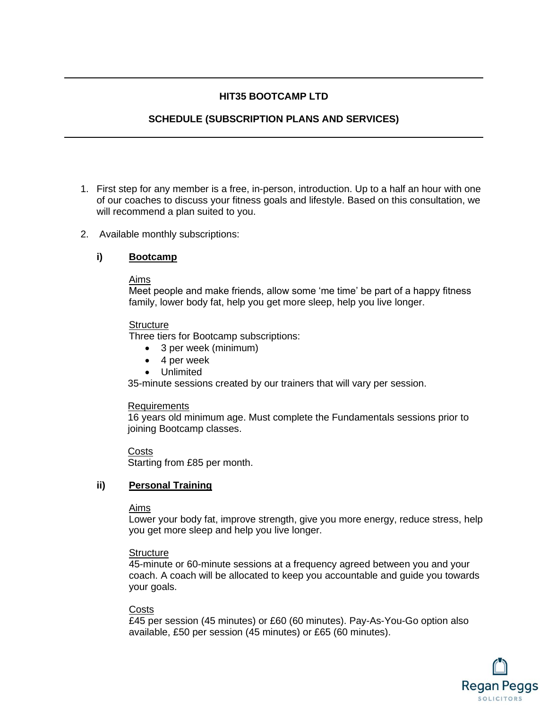# **HIT35 BOOTCAMP LTD**

# **SCHEDULE (SUBSCRIPTION PLANS AND SERVICES)**

- 1. First step for any member is a free, in-person, introduction. Up to a half an hour with one of our coaches to discuss your fitness goals and lifestyle. Based on this consultation, we will recommend a plan suited to you.
- 2. Available monthly subscriptions:

## **i) Bootcamp**

## Aims

Meet people and make friends, allow some 'me time' be part of a happy fitness family, lower body fat, help you get more sleep, help you live longer.

#### Structure

Three tiers for Bootcamp subscriptions:

- 3 per week (minimum)
- 4 per week
- Unlimited

35-minute sessions created by our trainers that will vary per session.

#### Requirements

16 years old minimum age. Must complete the Fundamentals sessions prior to joining Bootcamp classes.

#### **Costs**

Starting from £85 per month.

## **ii) Personal Training**

#### Aims

Lower your body fat, improve strength, give you more energy, reduce stress, help you get more sleep and help you live longer.

## **Structure**

45-minute or 60-minute sessions at a frequency agreed between you and your coach. A coach will be allocated to keep you accountable and guide you towards your goals.

## **Costs**

£45 per session (45 minutes) or £60 (60 minutes). Pay-As-You-Go option also available, £50 per session (45 minutes) or £65 (60 minutes).

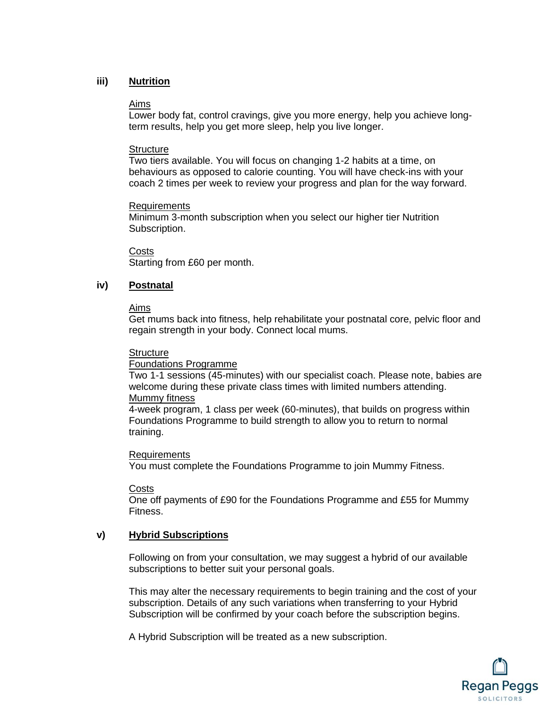## **iii) Nutrition**

#### Aims

Lower body fat, control cravings, give you more energy, help you achieve longterm results, help you get more sleep, help you live longer.

#### **Structure**

Two tiers available. You will focus on changing 1-2 habits at a time, on behaviours as opposed to calorie counting. You will have check-ins with your coach 2 times per week to review your progress and plan for the way forward.

#### Requirements

Minimum 3-month subscription when you select our higher tier Nutrition Subscription.

Costs

Starting from £60 per month.

## **iv) Postnatal**

#### Aims

Get mums back into fitness, help rehabilitate your postnatal core, pelvic floor and regain strength in your body. Connect local mums.

#### **Structure**

Foundations Programme

Two 1-1 sessions (45-minutes) with our specialist coach. Please note, babies are welcome during these private class times with limited numbers attending. Mummy fitness

4-week program, 1 class per week (60-minutes), that builds on progress within Foundations Programme to build strength to allow you to return to normal training.

#### Requirements

You must complete the Foundations Programme to join Mummy Fitness.

#### Costs

One off payments of £90 for the Foundations Programme and £55 for Mummy Fitness.

## **v) Hybrid Subscriptions**

Following on from your consultation, we may suggest a hybrid of our available subscriptions to better suit your personal goals.

This may alter the necessary requirements to begin training and the cost of your subscription. Details of any such variations when transferring to your Hybrid Subscription will be confirmed by your coach before the subscription begins.

A Hybrid Subscription will be treated as a new subscription.